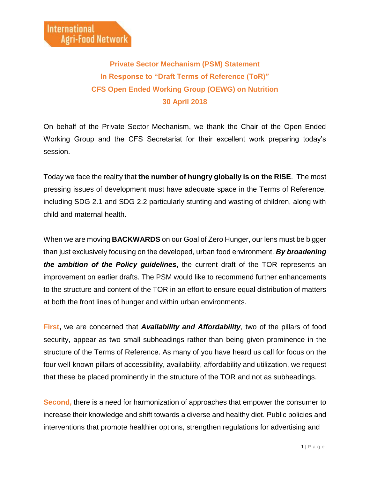## **Private Sector Mechanism (PSM) Statement In Response to "Draft Terms of Reference (ToR)" CFS Open Ended Working Group (OEWG) on Nutrition 30 April 2018**

On behalf of the Private Sector Mechanism, we thank the Chair of the Open Ended Working Group and the CFS Secretariat for their excellent work preparing today's session.

Today we face the reality that **the number of hungry globally is on the RISE**. The most pressing issues of development must have adequate space in the Terms of Reference, including SDG 2.1 and SDG 2.2 particularly stunting and wasting of children, along with child and maternal health.

When we are moving **BACKWARDS** on our Goal of Zero Hunger, our lens must be bigger than just exclusively focusing on the developed, urban food environment. *By broadening the ambition of the Policy guidelines*, the current draft of the TOR represents an improvement on earlier drafts. The PSM would like to recommend further enhancements to the structure and content of the TOR in an effort to ensure equal distribution of matters at both the front lines of hunger and within urban environments.

**First,** we are concerned that *Availability and Affordability*, two of the pillars of food security, appear as two small subheadings rather than being given prominence in the structure of the Terms of Reference. As many of you have heard us call for focus on the four well-known pillars of accessibility, availability, affordability and utilization, we request that these be placed prominently in the structure of the TOR and not as subheadings.

**Second,** there is a need for harmonization of approaches that empower the consumer to increase their knowledge and shift towards a diverse and healthy diet. Public policies and interventions that promote healthier options, strengthen regulations for advertising and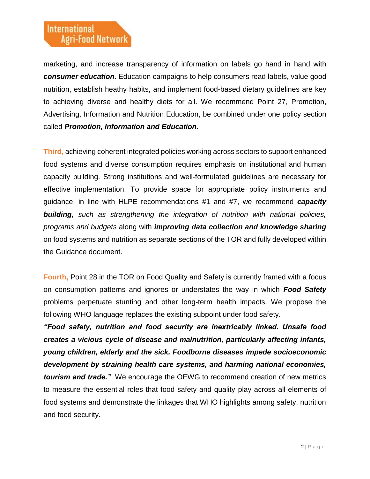marketing, and increase transparency of information on labels go hand in hand with *consumer education*. Education campaigns to help consumers read labels, value good nutrition, establish heathy habits, and implement food-based dietary guidelines are key to achieving diverse and healthy diets for all. We recommend Point 27, Promotion, Advertising, Information and Nutrition Education, be combined under one policy section called *Promotion, Information and Education.* 

**Third,** achieving coherent integrated policies working across sectors to support enhanced food systems and diverse consumption requires emphasis on institutional and human capacity building. Strong institutions and well-formulated guidelines are necessary for effective implementation. To provide space for appropriate policy instruments and guidance, in line with HLPE recommendations #1 and #7, we recommend *capacity building, such as strengthening the integration of nutrition with national policies, programs and budgets* along with *improving data collection and knowledge sharing* on food systems and nutrition as separate sections of the TOR and fully developed within the Guidance document.

**Fourth,** Point 28 in the TOR on Food Quality and Safety is currently framed with a focus on consumption patterns and ignores or understates the way in which *Food Safety*  problems perpetuate stunting and other long-term health impacts. We propose the following WHO language replaces the existing subpoint under food safety.

*"Food safety, nutrition and food security are inextricably linked. Unsafe food creates a vicious cycle of disease and malnutrition, particularly affecting infants, young children, elderly and the sick. Foodborne diseases impede socioeconomic development by straining health care systems, and harming national economies, tourism and trade."* We encourage the OEWG to recommend creation of new metrics to measure the essential roles that food safety and quality play across all elements of food systems and demonstrate the linkages that WHO highlights among safety, nutrition and food security.